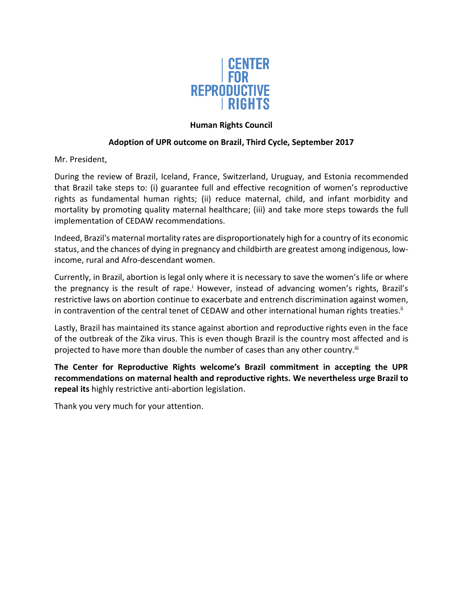

## **Human Rights Council**

## **Adoption of UPR outcome on Brazil, Third Cycle, September 2017**

Mr. President,

During the review of Brazil, Iceland, France, Switzerland, Uruguay, and Estonia recommended that Brazil take steps to: (i) guarantee full and effective recognition of women's reproductive rights as fundamental human rights; (ii) reduce maternal, child, and infant morbidity and mortality by promoting quality maternal healthcare; (iii) and take more steps towards the full implementation of CEDAW recommendations.

Indeed, Brazil's maternal mortality rates are disproportionately high for a country of its economic status, and the chances of dying in pregnancy and childbirth are greatest among indigenous, lowincome, rural and Afro-descendant women.

Currently, in Brazil, abortion is legal only where it is necessary to save the women's life or where the pregnancy is the result of rape.<sup>i</sup> However, instead of advancing women's rights, Brazil's restrictive laws on abortion continue to exacerbate and entrench discrimination against women, in contravention of the central tenet of CEDAW and other international human rights treaties.<sup>ii</sup>

Lastly, Brazil has maintained its stance against abortion and reproductive rights even in the face of the outbreak of the Zika virus. This is even though Brazil is the country most affected and is projected to have more than double the number of cases than any other country.<sup>iii</sup>

**The Center for Reproductive Rights welcome's Brazil commitment in accepting the UPR recommendations on maternal health and reproductive rights. We nevertheless urge Brazil to repeal its** highly restrictive anti-abortion legislation.

Thank you very much for your attention.